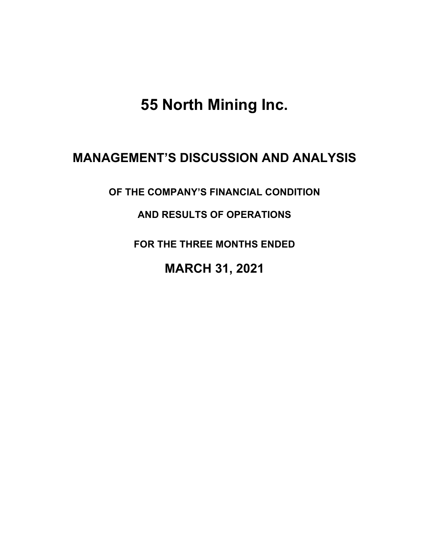**55 North Mining Inc.**

# **MANAGEMENT'S DISCUSSION AND ANALYSIS**

**OF THE COMPANY'S FINANCIAL CONDITION** 

**AND RESULTS OF OPERATIONS** 

**FOR THE THREE MONTHS ENDED**

**MARCH 31, 2021**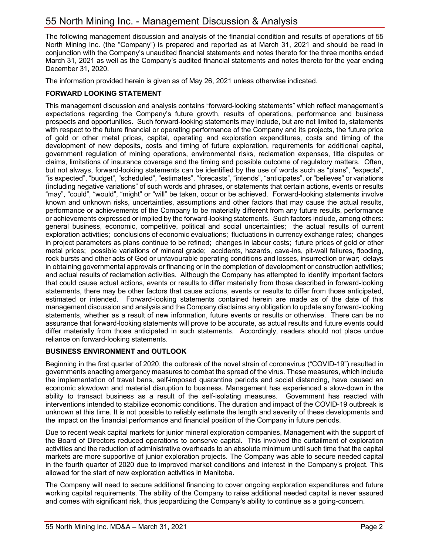The following management discussion and analysis of the financial condition and results of operations of 55 North Mining Inc. (the "Company") is prepared and reported as at March 31, 2021 and should be read in conjunction with the Company's unaudited financial statements and notes thereto for the three months ended March 31, 2021 as well as the Company's audited financial statements and notes thereto for the year ending December 31, 2020.

The information provided herein is given as of May 26, 2021 unless otherwise indicated.

## **FORWARD LOOKING STATEMENT**

This management discussion and analysis contains "forward-looking statements" which reflect management's expectations regarding the Company's future growth, results of operations, performance and business prospects and opportunities. Such forward-looking statements may include, but are not limited to, statements with respect to the future financial or operating performance of the Company and its projects, the future price of gold or other metal prices, capital, operating and exploration expenditures, costs and timing of the development of new deposits, costs and timing of future exploration, requirements for additional capital, government regulation of mining operations, environmental risks, reclamation expenses, title disputes or claims, limitations of insurance coverage and the timing and possible outcome of regulatory matters. Often, but not always, forward-looking statements can be identified by the use of words such as "plans", "expects", "is expected", "budget", "scheduled", "estimates", "forecasts", "intends", "anticipates", or "believes" or variations (including negative variations" of such words and phrases, or statements that certain actions, events or results "may", "could", "would", "might" or "will" be taken, occur or be achieved. Forward-looking statements involve known and unknown risks, uncertainties, assumptions and other factors that may cause the actual results, performance or achievements of the Company to be materially different from any future results, performance or achievements expressed or implied by the forward-looking statements. Such factors include, among others: general business, economic, competitive, political and social uncertainties; the actual results of current exploration activities; conclusions of economic evaluations; fluctuations in currency exchange rates; changes in project parameters as plans continue to be refined; changes in labour costs; future prices of gold or other metal prices; possible variations of mineral grade; accidents, hazards, cave-ins, pit-wall failures, flooding, rock bursts and other acts of God or unfavourable operating conditions and losses, insurrection or war; delays in obtaining governmental approvals or financing or in the completion of development or construction activities; and actual results of reclamation activities. Although the Company has attempted to identify important factors that could cause actual actions, events or results to differ materially from those described in forward-looking statements, there may be other factors that cause actions, events or results to differ from those anticipated, estimated or intended. Forward-looking statements contained herein are made as of the date of this management discussion and analysis and the Company disclaims any obligation to update any forward-looking statements, whether as a result of new information, future events or results or otherwise. There can be no assurance that forward-looking statements will prove to be accurate, as actual results and future events could differ materially from those anticipated in such statements. Accordingly, readers should not place undue reliance on forward-looking statements.

## **BUSINESS ENVIRONMENT and OUTLOOK**

Beginning in the first quarter of 2020, the outbreak of the novel strain of coronavirus ("COVID-19") resulted in governments enacting emergency measures to combat the spread of the virus. These measures, which include the implementation of travel bans, self-imposed quarantine periods and social distancing, have caused an economic slowdown and material disruption to business. Management has experienced a slow-down in the ability to transact business as a result of the self-isolating measures. Government has reacted with interventions intended to stabilize economic conditions. The duration and impact of the COVID-19 outbreak is unknown at this time. It is not possible to reliably estimate the length and severity of these developments and the impact on the financial performance and financial position of the Company in future periods.

Due to recent weak capital markets for junior mineral exploration companies, Management with the support of the Board of Directors reduced operations to conserve capital. This involved the curtailment of exploration activities and the reduction of administrative overheads to an absolute minimum until such time that the capital markets are more supportive of junior exploration projects. The Company was able to secure needed capital in the fourth quarter of 2020 due to improved market conditions and interest in the Company's project. This allowed for the start of new exploration activities in Manitoba.

The Company will need to secure additional financing to cover ongoing exploration expenditures and future working capital requirements. The ability of the Company to raise additional needed capital is never assured and comes with significant risk, thus jeopardizing the Company's ability to continue as a going-concern.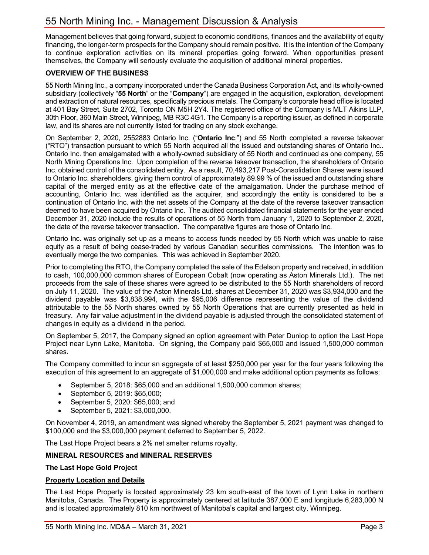Management believes that going forward, subject to economic conditions, finances and the availability of equity financing, the longer-term prospects for the Company should remain positive. It is the intention of the Company to continue exploration activities on its mineral properties going forward. When opportunities present themselves, the Company will seriously evaluate the acquisition of additional mineral properties.

## **OVERVIEW OF THE BUSINESS**

55 North Mining Inc., a company incorporated under the Canada Business Corporation Act, and its wholly-owned subsidiary (collectively "**55 North**" or the "**Company**") are engaged in the acquisition, exploration, development and extraction of natural resources, specifically precious metals. The Company's corporate head office is located at 401 Bay Street, Suite 2702, Toronto ON M5H 2Y4. The registered office of the Company is MLT Aikins LLP, 30th Floor, 360 Main Street, Winnipeg, MB R3C 4G1. The Company is a reporting issuer, as defined in corporate law, and its shares are not currently listed for trading on any stock exchange.

On September 2, 2020, 2552883 Ontario Inc. ("**Ontario Inc**.") and 55 North completed a reverse takeover ("RTO") transaction pursuant to which 55 North acquired all the issued and outstanding shares of Ontario Inc.. Ontario Inc. then amalgamated with a wholly-owned subsidiary of 55 North and continued as one company, 55 North Mining Operations Inc. Upon completion of the reverse takeover transaction, the shareholders of Ontario Inc. obtained control of the consolidated entity. As a result, 70,493,217 Post-Consolidation Shares were issued to Ontario Inc. shareholders, giving them control of approximately 89.99 % of the issued and outstanding share capital of the merged entity as at the effective date of the amalgamation. Under the purchase method of accounting, Ontario Inc. was identified as the acquirer, and accordingly the entity is considered to be a continuation of Ontario Inc. with the net assets of the Company at the date of the reverse takeover transaction deemed to have been acquired by Ontario Inc. The audited consolidated financial statements for the year ended December 31, 2020 include the results of operations of 55 North from January 1, 2020 to September 2, 2020, the date of the reverse takeover transaction. The comparative figures are those of Ontario Inc.

Ontario Inc. was originally set up as a means to access funds needed by 55 North which was unable to raise equity as a result of being cease-traded by various Canadian securities commissions. The intention was to eventually merge the two companies. This was achieved in September 2020.

Prior to completing the RTO, the Company completed the sale of the Edelson property and received, in addition to cash, 100,000,000 common shares of European Cobalt (now operating as Aston Minerals Ltd.). The net proceeds from the sale of these shares were agreed to be distributed to the 55 North shareholders of record on July 11, 2020. The value of the Aston Minerals Ltd. shares at December 31, 2020 was \$3,934,000 and the dividend payable was \$3,838,994, with the \$95,006 difference representing the value of the dividend attributable to the 55 North shares owned by 55 North Operations that are currently presented as held in treasury. Any fair value adjustment in the dividend payable is adjusted through the consolidated statement of changes in equity as a dividend in the period.

On September 5, 2017, the Company signed an option agreement with Peter Dunlop to option the Last Hope Project near Lynn Lake, Manitoba. On signing, the Company paid \$65,000 and issued 1,500,000 common shares.

The Company committed to incur an aggregate of at least \$250,000 per year for the four years following the execution of this agreement to an aggregate of \$1,000,000 and make additional option payments as follows:

- September 5, 2018: \$65,000 and an additional 1,500,000 common shares;
- September 5, 2019: \$65,000;
- September 5, 2020: \$65,000; and
- September 5, 2021: \$3,000,000.

On November 4, 2019, an amendment was signed whereby the September 5, 2021 payment was changed to \$100,000 and the \$3,000,000 payment deferred to September 5, 2022.

The Last Hope Project bears a 2% net smelter returns royalty.

#### **MINERAL RESOURCES and MINERAL RESERVES**

#### **The Last Hope Gold Project**

#### **Property Location and Details**

The Last Hope Property is located approximately 23 km south-east of the town of Lynn Lake in northern Manitoba, Canada. The Property is approximately centered at latitude 387,000 E and longitude 6,283,000 N and is located approximately 810 km northwest of Manitoba's capital and largest city, Winnipeg.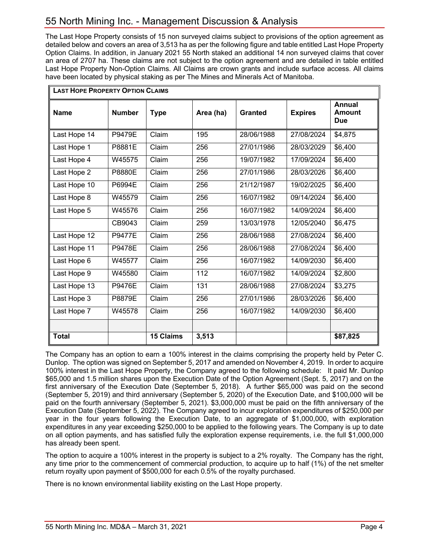The Last Hope Property consists of 15 non surveyed claims subject to provisions of the option agreement as detailed below and covers an area of 3,513 ha as per the following figure and table entitled Last Hope Property Option Claims. In addition, in January 2021 55 North staked an additional 14 non surveyed claims that cover an area of 2707 ha. These claims are not subject to the option agreement and are detailed in table entitled Last Hope Property Non-Option Claims. All Claims are crown grants and include surface access. All claims have been located by physical staking as per The Mines and Minerals Act of Manitoba.

| <b>LAST HOPE PROPERTY OPTION CLAIMS</b> |               |                  |           |                |                |                                       |  |
|-----------------------------------------|---------------|------------------|-----------|----------------|----------------|---------------------------------------|--|
| <b>Name</b>                             | <b>Number</b> | <b>Type</b>      | Area (ha) | <b>Granted</b> | <b>Expires</b> | <b>Annual</b><br><b>Amount</b><br>Due |  |
| Last Hope 14                            | <b>P9479E</b> | Claim            | 195       | 28/06/1988     | 27/08/2024     | \$4,875                               |  |
| Last Hope 1                             | P8881E        | Claim            | 256       | 27/01/1986     | 28/03/2029     | \$6,400                               |  |
| Last Hope 4                             | W45575        | Claim            | 256       | 19/07/1982     | 17/09/2024     | \$6,400                               |  |
| Last Hope 2                             | P8880E        | Claim            | 256       | 27/01/1986     | 28/03/2026     | \$6,400                               |  |
| Last Hope 10                            | P6994E        | Claim            | 256       | 21/12/1987     | 19/02/2025     | \$6,400                               |  |
| Last Hope 8                             | W45579        | Claim            | 256       | 16/07/1982     | 09/14/2024     | \$6,400                               |  |
| Last Hope 5                             | W45576        | Claim            | 256       | 16/07/1982     | 14/09/2024     | \$6,400                               |  |
|                                         | CB9043        | Claim            | 259       | 13/03/1978     | 12/05/2040     | \$6,475                               |  |
| Last Hope 12                            | <b>P9477E</b> | Claim            | 256       | 28/06/1988     | 27/08/2024     | \$6,400                               |  |
| Last Hope 11                            | <b>P9478E</b> | Claim            | 256       | 28/06/1988     | 27/08/2024     | \$6,400                               |  |
| Last Hope 6                             | W45577        | Claim            | 256       | 16/07/1982     | 14/09/2030     | \$6,400                               |  |
| Last Hope 9                             | W45580        | Claim            | 112       | 16/07/1982     | 14/09/2024     | \$2,800                               |  |
| Last Hope 13                            | <b>P9476E</b> | Claim            | 131       | 28/06/1988     | 27/08/2024     | \$3,275                               |  |
| Last Hope 3                             | P8879E        | Claim            | 256       | 27/01/1986     | 28/03/2026     | \$6,400                               |  |
| Last Hope 7                             | W45578        | Claim            | 256       | 16/07/1982     | 14/09/2030     | \$6,400                               |  |
|                                         |               |                  |           |                |                |                                       |  |
| <b>Total</b>                            |               | <b>15 Claims</b> | 3,513     |                |                | \$87,825                              |  |

The Company has an option to earn a 100% interest in the claims comprising the property held by Peter C. Dunlop. The option was signed on September 5, 2017 and amended on November 4, 2019. In order to acquire 100% interest in the Last Hope Property, the Company agreed to the following schedule: It paid Mr. Dunlop \$65,000 and 1.5 million shares upon the Execution Date of the Option Agreement (Sept. 5, 2017) and on the first anniversary of the Execution Date (September 5, 2018). A further \$65,000 was paid on the second (September 5, 2019) and third anniversary (September 5, 2020) of the Execution Date, and \$100,000 will be paid on the fourth anniversary (September 5, 2021). \$3,000,000 must be paid on the fifth anniversary of the Execution Date (September 5, 2022). The Company agreed to incur exploration expenditures of \$250,000 per year in the four years following the Execution Date, to an aggregate of \$1,000,000, with exploration expenditures in any year exceeding \$250,000 to be applied to the following years. The Company is up to date on all option payments, and has satisfied fully the exploration expense requirements, i.e. the full \$1,000,000 has already been spent.

The option to acquire a 100% interest in the property is subject to a 2% royalty. The Company has the right, any time prior to the commencement of commercial production, to acquire up to half (1%) of the net smelter return royalty upon payment of \$500,000 for each 0.5% of the royalty purchased.

There is no known environmental liability existing on the Last Hope property.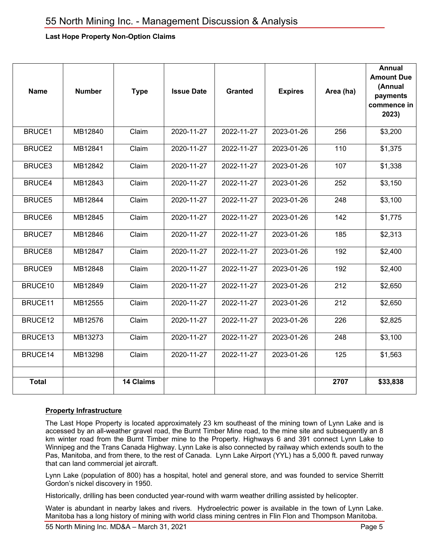## **Last Hope Property Non-Option Claims**

| <b>Name</b>   | <b>Number</b> | <b>Type</b>      | <b>Issue Date</b> | <b>Granted</b> | <b>Expires</b> | Area (ha) | <b>Annual</b><br><b>Amount Due</b><br>(Annual<br>payments<br>commence in<br>2023) |
|---------------|---------------|------------------|-------------------|----------------|----------------|-----------|-----------------------------------------------------------------------------------|
| <b>BRUCE1</b> | MB12840       | Claim            | 2020-11-27        | 2022-11-27     | 2023-01-26     | 256       | \$3,200                                                                           |
| BRUCE2        | MB12841       | Claim            | 2020-11-27        | 2022-11-27     | 2023-01-26     | 110       | \$1,375                                                                           |
| BRUCE3        | MB12842       | Claim            | 2020-11-27        | 2022-11-27     | 2023-01-26     | 107       | \$1,338                                                                           |
| <b>BRUCE4</b> | MB12843       | Claim            | 2020-11-27        | 2022-11-27     | 2023-01-26     | 252       | \$3,150                                                                           |
| BRUCE5        | MB12844       | Claim            | 2020-11-27        | 2022-11-27     | 2023-01-26     | 248       | \$3,100                                                                           |
| <b>BRUCE6</b> | MB12845       | Claim            | 2020-11-27        | 2022-11-27     | 2023-01-26     | 142       | \$1,775                                                                           |
| <b>BRUCE7</b> | MB12846       | Claim            | 2020-11-27        | 2022-11-27     | 2023-01-26     | 185       | \$2,313                                                                           |
| <b>BRUCE8</b> | MB12847       | Claim            | 2020-11-27        | 2022-11-27     | 2023-01-26     | 192       | \$2,400                                                                           |
| BRUCE9        | MB12848       | Claim            | 2020-11-27        | 2022-11-27     | 2023-01-26     | 192       | \$2,400                                                                           |
| BRUCE10       | MB12849       | Claim            | 2020-11-27        | 2022-11-27     | 2023-01-26     | 212       | \$2,650                                                                           |
| BRUCE11       | MB12555       | Claim            | 2020-11-27        | 2022-11-27     | 2023-01-26     | 212       | \$2,650                                                                           |
| BRUCE12       | MB12576       | Claim            | 2020-11-27        | 2022-11-27     | 2023-01-26     | 226       | \$2,825                                                                           |
| BRUCE13       | MB13273       | Claim            | 2020-11-27        | 2022-11-27     | 2023-01-26     | 248       | \$3,100                                                                           |
| BRUCE14       | MB13298       | Claim            | 2020-11-27        | 2022-11-27     | 2023-01-26     | 125       | \$1,563                                                                           |
| <b>Total</b>  |               | <b>14 Claims</b> |                   |                |                | 2707      | \$33,838                                                                          |

#### **Property Infrastructure**

The Last Hope Property is located approximately 23 km southeast of the mining town of Lynn Lake and is accessed by an all-weather gravel road, the Burnt Timber Mine road, to the mine site and subsequently an 8 km winter road from the Burnt Timber mine to the Property. Highways 6 and 391 connect Lynn Lake to Winnipeg and the Trans Canada Highway. Lynn Lake is also connected by railway which extends south to the Pas, Manitoba, and from there, to the rest of Canada. Lynn Lake Airport (YYL) has a 5,000 ft. paved runway that can land commercial jet aircraft.

Lynn Lake (population of 800) has a hospital, hotel and general store, and was founded to service Sherritt Gordon's nickel discovery in 1950.

Historically, drilling has been conducted year-round with warm weather drilling assisted by helicopter.

Water is abundant in nearby lakes and rivers. Hydroelectric power is available in the town of Lynn Lake. Manitoba has a long history of mining with world class mining centres in Flin Flon and Thompson Manitoba.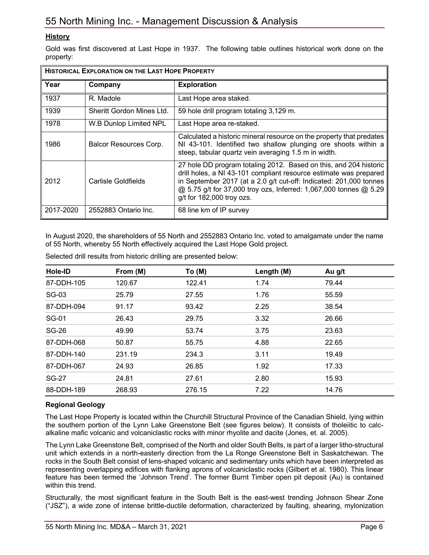## **History**

Gold was first discovered at Last Hope in 1937. The following table outlines historical work done on the property:

| <b>HISTORICAL EXPLORATION ON THE LAST HOPE PROPERTY</b> |                           |                                                                                                                                                                                                                                                                                                                |  |  |
|---------------------------------------------------------|---------------------------|----------------------------------------------------------------------------------------------------------------------------------------------------------------------------------------------------------------------------------------------------------------------------------------------------------------|--|--|
| Year                                                    | Company                   | <b>Exploration</b>                                                                                                                                                                                                                                                                                             |  |  |
| 1937                                                    | R. Madole                 | Last Hope area staked.                                                                                                                                                                                                                                                                                         |  |  |
| 1939                                                    | Sheritt Gordon Mines Ltd. | 59 hole drill program totaling 3,129 m.                                                                                                                                                                                                                                                                        |  |  |
| 1978                                                    | W.B Dunlop Limited NPL    | Last Hope area re-staked.                                                                                                                                                                                                                                                                                      |  |  |
| 1986                                                    | Balcor Resources Corp.    | Calculated a historic mineral resource on the property that predates<br>NI 43-101. Identified two shallow plunging ore shoots within a<br>steep, tabular quartz vein averaging 1.5 m in width.                                                                                                                 |  |  |
| 2012                                                    | Carlisle Goldfields       | 27 hole DD program totaling 2012. Based on this, and 204 historic<br>drill holes, a NI 43-101 compliant resource estimate was prepared<br>in September 2017 (at a 2.0 g/t cut-off: Indicated: 201,000 tonnes<br>@ 5.75 g/t for 37,000 troy ozs, Inferred: 1,067,000 tonnes @ 5.29<br>g/t for 182,000 troy ozs. |  |  |
| 2017-2020                                               | 2552883 Ontario Inc.      | 68 line km of IP survey                                                                                                                                                                                                                                                                                        |  |  |

In August 2020, the shareholders of 55 North and 2552883 Ontario Inc. voted to amalgamate under the name of 55 North, whereby 55 North effectively acquired the Last Hope Gold project.

| Hole-ID      | From (M) | To (M) | Length (M) | Au g/t |
|--------------|----------|--------|------------|--------|
| 87-DDH-105   | 120.67   | 122.41 | 1.74       | 79.44  |
| SG-03        | 25.79    | 27.55  | 1.76       | 55.59  |
| 87-DDH-094   | 91.17    | 93.42  | 2.25       | 38.54  |
| <b>SG-01</b> | 26.43    | 29.75  | 3.32       | 26.66  |
| <b>SG-26</b> | 49.99    | 53.74  | 3.75       | 23.63  |
| 87-DDH-068   | 50.87    | 55.75  | 4.88       | 22.65  |
| 87-DDH-140   | 231.19   | 234.3  | 3.11       | 19.49  |
| 87-DDH-067   | 24.93    | 26.85  | 1.92       | 17.33  |
| SG-27        | 24.81    | 27.61  | 2.80       | 15.93  |
| 88-DDH-189   | 268.93   | 276.15 | 7.22       | 14.76  |

Selected drill results from historic drilling are presented below:

## **Regional Geology**

The Last Hope Property is located within the Churchill Structural Province of the Canadian Shield, lying within the southern portion of the Lynn Lake Greenstone Belt (see figures below). It consists of tholeiitic to calcalkaline mafic volcanic and volcaniclastic rocks with minor rhyolite and dacite (Jones, et. al. 2005).

The Lynn Lake Greenstone Belt, comprised of the North and older South Belts, is part of a larger litho-structural unit which extends in a north-easterly direction from the La Ronge Greenstone Belt in Saskatchewan. The rocks in the South Belt consist of lens-shaped volcanic and sedimentary units which have been interpreted as representing overlapping edifices with flanking aprons of volcaniclastic rocks (Gilbert et al. 1980). This linear feature has been termed the 'Johnson Trend'. The former Burnt Timber open pit deposit (Au) is contained within this trend.

Structurally, the most significant feature in the South Belt is the east-west trending Johnson Shear Zone ("JSZ"), a wide zone of intense brittle-ductile deformation, characterized by faulting, shearing, mylonization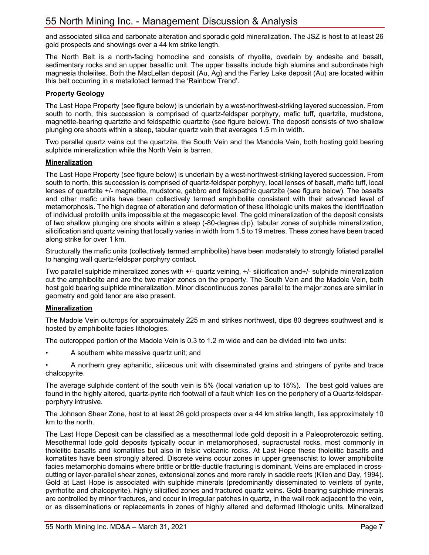and associated silica and carbonate alteration and sporadic gold mineralization. The JSZ is host to at least 26 gold prospects and showings over a 44 km strike length.

The North Belt is a north-facing homocline and consists of rhyolite, overlain by andesite and basalt, sedimentary rocks and an upper basaltic unit. The upper basalts include high alumina and subordinate high magnesia tholeiites. Both the MacLellan deposit (Au, Ag) and the Farley Lake deposit (Au) are located within this belt occurring in a metallotect termed the 'Rainbow Trend'.

### **Property Geology**

The Last Hope Property (see figure below) is underlain by a west-northwest-striking layered succession. From south to north, this succession is comprised of quartz-feldspar porphyry, mafic tuff, quartzite, mudstone, magnetite-bearing quartzite and feldspathic quartzite (see figure below). The deposit consists of two shallow plunging ore shoots within a steep, tabular quartz vein that averages 1.5 m in width.

Two parallel quartz veins cut the quartzite, the South Vein and the Mandole Vein, both hosting gold bearing sulphide mineralization while the North Vein is barren.

#### **Mineralization**

The Last Hope Property (see figure below) is underlain by a west-northwest-striking layered succession. From south to north, this succession is comprised of quartz-feldspar porphyry, local lenses of basalt, mafic tuff, local lenses of quartzite +/- magnetite, mudstone, gabbro and feldspathic quartzite (see figure below). The basalts and other mafic units have been collectively termed amphibolite consistent with their advanced level of metamorphosis. The high degree of alteration and deformation of these lithologic units makes the identification of individual protolith units impossible at the megascopic level. The gold mineralization of the deposit consists of two shallow plunging ore shoots within a steep (-80-degree dip), tabular zones of sulphide mineralization, silicification and quartz veining that locally varies in width from 1.5 to 19 metres. These zones have been traced along strike for over 1 km.

Structurally the mafic units (collectively termed amphibolite) have been moderately to strongly foliated parallel to hanging wall quartz-feldspar porphyry contact.

Two parallel sulphide mineralized zones with +/- quartz veining, +/- silicification and+/- sulphide mineralization cut the amphibolite and are the two major zones on the property. The South Vein and the Madole Vein, both host gold bearing sulphide mineralization. Minor discontinuous zones parallel to the major zones are similar in geometry and gold tenor are also present.

## **Mineralization**

The Madole Vein outcrops for approximately 225 m and strikes northwest, dips 80 degrees southwest and is hosted by amphibolite facies lithologies.

The outcropped portion of the Madole Vein is 0.3 to 1.2 m wide and can be divided into two units:

• A southern white massive quartz unit; and

• A northern grey aphanitic, siliceous unit with disseminated grains and stringers of pyrite and trace chalcopyrite.

The average sulphide content of the south vein is 5% (local variation up to 15%). The best gold values are found in the highly altered, quartz-pyrite rich footwall of a fault which lies on the periphery of a Quartz-feldsparporphyry intrusive.

The Johnson Shear Zone, host to at least 26 gold prospects over a 44 km strike length, lies approximately 10 km to the north.

The Last Hope Deposit can be classified as a mesothermal lode gold deposit in a Paleoproterozoic setting. Mesothermal lode gold deposits typically occur in metamorphosed, supracrustal rocks, most commonly in tholeiitic basalts and komatiites but also in felsic volcanic rocks. At Last Hope these tholeiitic basalts and komatiites have been strongly altered. Discrete veins occur zones in upper greenschist to lower amphibolite facies metamorphic domains where brittle or brittle-ductile fracturing is dominant. Veins are emplaced in crosscutting or layer-parallel shear zones, extensional zones and more rarely in saddle reefs (Klien and Day, 1994). Gold at Last Hope is associated with sulphide minerals (predominantly disseminated to veinlets of pyrite, pyrrhotite and chalcopyrite), highly silicified zones and fractured quartz veins. Gold-bearing sulphide minerals are controlled by minor fractures, and occur in irregular patches in quartz, in the wall rock adjacent to the vein, or as disseminations or replacements in zones of highly altered and deformed lithologic units. Mineralized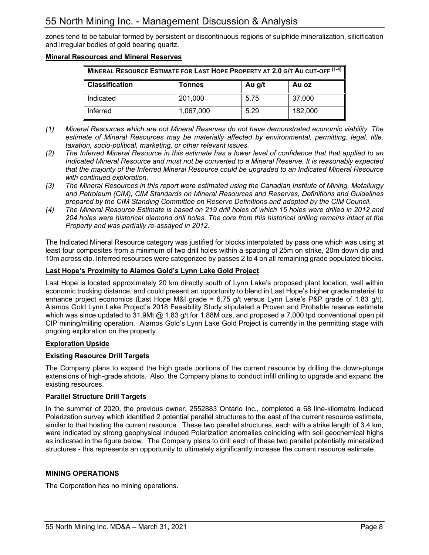zones tend to be tabular formed by persistent or discontinuous regions of sulphide mineralization, silicification and irregular bodies of gold bearing quartz.

#### **Mineral Resources and Mineral Reserves**

| MINERAL RESOURCE ESTIMATE FOR LAST HOPE PROPERTY AT 2.0 G/T AU CUT-OFF (1-4) |           |      |         |  |  |  |
|------------------------------------------------------------------------------|-----------|------|---------|--|--|--|
| <b>Classification</b><br>Au g/t<br>Au oz<br>Tonnes                           |           |      |         |  |  |  |
| Indicated                                                                    | 201,000   | 5.75 | 37,000  |  |  |  |
| Inferred                                                                     | 1,067,000 | 5.29 | 182,000 |  |  |  |

- *(1) Mineral Resources which are not Mineral Reserves do not have demonstrated economic viability. The estimate of Mineral Resources may be materially affected by environmental, permitting, legal, title, taxation, socio-political, marketing, or other relevant issues.*
- *(2) The Inferred Mineral Resource in this estimate has a lower level of confidence that that applied to an Indicated Mineral Resource and must not be converted to a Mineral Reserve. It is reasonably expected that the majority of the Inferred Mineral Resource could be upgraded to an Indicated Mineral Resource with continued exploration.*
- *(3) The Mineral Resources in this report were estimated using the Canadian Institute of Mining, Metallurgy and Petroleum (CIM), CIM Standards on Mineral Resources and Reserves, Definitions and Guidelines prepared by the CIM Standing Committee on Reserve Definitions and adopted by the CIM Council.*
- *(4) The Mineral Resource Estimate is based on 219 drill holes of which 15 holes were drilled in 2012 and 204 holes were historical diamond drill holes. The core from this historical drilling remains intact at the Property and was partially re-assayed in 2012.*

The Indicated Mineral Resource category was justified for blocks interpolated by pass one which was using at least four composites from a minimum of two drill holes within a spacing of 25m on strike, 20m down dip and 10m across dip. Inferred resources were categorized by passes 2 to 4 on all remaining grade populated blocks.

#### **Last Hope's Proximity to Alamos Gold's Lynn Lake Gold Project**

Last Hope is located approximately 20 km directly south of Lynn Lake's proposed plant location, well within economic trucking distance, and could present an opportunity to blend in Last Hope's higher grade material to enhance project economics (Last Hope M&I grade =  $6.75$  g/t versus Lynn Lake's P&P grade of 1.83 g/t). Alamos Gold Lynn Lake Project's 2018 Feasibility Study stipulated a Proven and Probable reserve estimate which was since updated to 31.9Mt @ 1.83 g/t for 1.88M ozs, and proposed a 7,000 tpd conventional open pit CIP mining/milling operation. Alamos Gold's Lynn Lake Gold Project is currently in the permitting stage with ongoing exploration on the property.

## **Exploration Upside**

## **Existing Resource Drill Targets**

The Company plans to expand the high grade portions of the current resource by drilling the down-plunge extensions of high-grade shoots. Also, the Company plans to conduct infill drilling to upgrade and expand the existing resources.

#### **Parallel Structure Drill Targets**

In the summer of 2020, the previous owner, 2552883 Ontario Inc., completed a 68 line-kilometre Induced Polarization survey which identified 2 potential parallel structures to the east of the current resource estimate, similar to that hosting the current resource. These two parallel structures, each with a strike length of 3.4 km, were indicated by strong geophysical Induced Polarization anomalies coinciding with soil geochemical highs as indicated in the figure below. The Company plans to drill each of these two parallel potentially mineralized structures - this represents an opportunity to ultimately significantly increase the current resource estimate.

#### **MINING OPERATIONS**

The Corporation has no mining operations.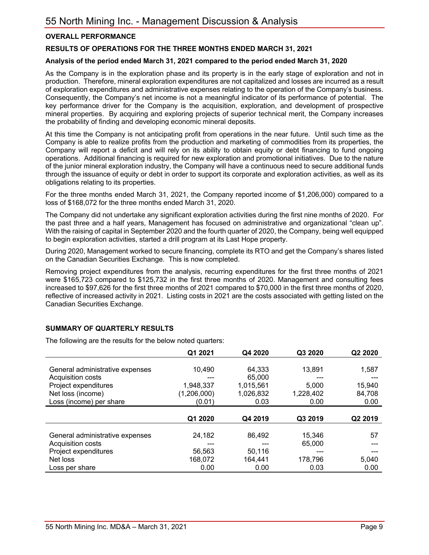## **OVERALL PERFORMANCE**

## **RESULTS OF OPERATIONS FOR THE THREE MONTHS ENDED MARCH 31, 2021**

#### **Analysis of the period ended March 31, 2021 compared to the period ended March 31, 2020**

As the Company is in the exploration phase and its property is in the early stage of exploration and not in production. Therefore, mineral exploration expenditures are not capitalized and losses are incurred as a result of exploration expenditures and administrative expenses relating to the operation of the Company's business. Consequently, the Company's net income is not a meaningful indicator of its performance of potential. The key performance driver for the Company is the acquisition, exploration, and development of prospective mineral properties. By acquiring and exploring projects of superior technical merit, the Company increases the probability of finding and developing economic mineral deposits.

At this time the Company is not anticipating profit from operations in the near future. Until such time as the Company is able to realize profits from the production and marketing of commodities from its properties, the Company will report a deficit and will rely on its ability to obtain equity or debt financing to fund ongoing operations. Additional financing is required for new exploration and promotional initiatives. Due to the nature of the junior mineral exploration industry, the Company will have a continuous need to secure additional funds through the issuance of equity or debt in order to support its corporate and exploration activities, as well as its obligations relating to its properties.

For the three months ended March 31, 2021, the Company reported income of \$1,206,000) compared to a loss of \$168,072 for the three months ended March 31, 2020.

The Company did not undertake any significant exploration activities during the first nine months of 2020. For the past three and a half years, Management has focused on administrative and organizational "clean up". With the raising of capital in September 2020 and the fourth quarter of 2020, the Company, being well equipped to begin exploration activities, started a drill program at its Last Hope property.

During 2020, Management worked to secure financing, complete its RTO and get the Company's shares listed on the Canadian Securities Exchange. This is now completed.

Removing project expenditures from the analysis, recurring expenditures for the first three months of 2021 were \$165,723 compared to \$125,732 in the first three months of 2020. Management and consulting fees increased to \$97,626 for the first three months of 2021 compared to \$70,000 in the first three months of 2020, reflective of increased activity in 2021. Listing costs in 2021 are the costs associated with getting listed on the Canadian Securities Exchange.

#### **SUMMARY OF QUARTERLY RESULTS**

The following are the results for the below noted quarters:

|                                 | Q1 2021     | Q4 2020   | Q3 2020   | Q2 2020 |
|---------------------------------|-------------|-----------|-----------|---------|
|                                 |             |           |           |         |
| General administrative expenses | 10,490      | 64,333    | 13,891    | 1,587   |
| Acquisition costs               | ---         | 65,000    |           |         |
| Project expenditures            | 1,948,337   | 1.015.561 | 5.000     | 15,940  |
| Net loss (income)               | (1,206,000) | 1,026,832 | 1,228,402 | 84,708  |
| Loss (income) per share         | (0.01)      | 0.03      | 0.00      | 0.00    |
|                                 |             |           |           |         |
|                                 | Q1 2020     | Q4 2019   | Q3 2019   | Q2 2019 |
|                                 |             |           |           |         |
| General administrative expenses | 24.182      | 86.492    | 15,346    | 57      |
| Acquisition costs               |             |           | 65,000    |         |
| Project expenditures            | 56.563      | 50,116    |           |         |
| Net loss                        | 168,072     | 164,441   | 178,796   | 5,040   |
| Loss per share                  | 0.00        | 0.00      | 0.03      | 0.00    |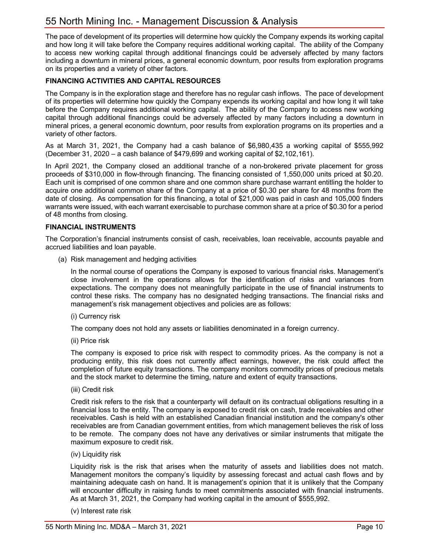The pace of development of its properties will determine how quickly the Company expends its working capital and how long it will take before the Company requires additional working capital. The ability of the Company to access new working capital through additional financings could be adversely affected by many factors including a downturn in mineral prices, a general economic downturn, poor results from exploration programs on its properties and a variety of other factors.

## **FINANCING ACTIVITIES AND CAPITAL RESOURCES**

The Company is in the exploration stage and therefore has no regular cash inflows. The pace of development of its properties will determine how quickly the Company expends its working capital and how long it will take before the Company requires additional working capital. The ability of the Company to access new working capital through additional financings could be adversely affected by many factors including a downturn in mineral prices, a general economic downturn, poor results from exploration programs on its properties and a variety of other factors.

As at March 31, 2021, the Company had a cash balance of \$6,980,435 a working capital of \$555,992 (December 31, 2020 – a cash balance of \$479,699 and working capital of \$2,102,161).

In April 2021, the Company closed an additional tranche of a non-brokered private placement for gross proceeds of \$310,000 in flow-through financing. The financing consisted of 1,550,000 units priced at \$0.20. Each unit is comprised of one common share and one common share purchase warrant entitling the holder to acquire one additional common share of the Company at a price of \$0.30 per share for 48 months from the date of closing. As compensation for this financing, a total of \$21,000 was paid in cash and 105,000 finders warrants were issued, with each warrant exercisable to purchase common share at a price of \$0.30 for a period of 48 months from closing.

#### **FINANCIAL INSTRUMENTS**

The Corporation's financial instruments consist of cash, receivables, loan receivable, accounts payable and accrued liabilities and loan payable.

(a) Risk management and hedging activities

In the normal course of operations the Company is exposed to various financial risks. Management's close involvement in the operations allows for the identification of risks and variances from expectations. The company does not meaningfully participate in the use of financial instruments to control these risks. The company has no designated hedging transactions. The financial risks and management's risk management objectives and policies are as follows:

(i) Currency risk

The company does not hold any assets or liabilities denominated in a foreign currency.

(ii) Price risk

The company is exposed to price risk with respect to commodity prices. As the company is not a producing entity, this risk does not currently affect earnings, however, the risk could affect the completion of future equity transactions. The company monitors commodity prices of precious metals and the stock market to determine the timing, nature and extent of equity transactions.

(iii) Credit risk

Credit risk refers to the risk that a counterparty will default on its contractual obligations resulting in a financial loss to the entity. The company is exposed to credit risk on cash, trade receivables and other receivables. Cash is held with an established Canadian financial institution and the company's other receivables are from Canadian government entities, from which management believes the risk of loss to be remote. The company does not have any derivatives or similar instruments that mitigate the maximum exposure to credit risk.

(iv) Liquidity risk

Liquidity risk is the risk that arises when the maturity of assets and liabilities does not match. Management monitors the company's liquidity by assessing forecast and actual cash flows and by maintaining adequate cash on hand. It is management's opinion that it is unlikely that the Company will encounter difficulty in raising funds to meet commitments associated with financial instruments. As at March 31, 2021, the Company had working capital in the amount of \$555,992.

(v) Interest rate risk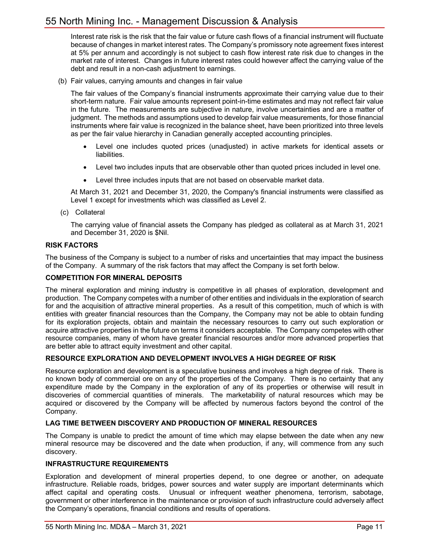Interest rate risk is the risk that the fair value or future cash flows of a financial instrument will fluctuate because of changes in market interest rates. The Company's promissory note agreement fixes interest at 5% per annum and accordingly is not subject to cash flow interest rate risk due to changes in the market rate of interest. Changes in future interest rates could however affect the carrying value of the debt and result in a non-cash adjustment to earnings.

(b) Fair values, carrying amounts and changes in fair value

The fair values of the Company's financial instruments approximate their carrying value due to their short-term nature. Fair value amounts represent point-in-time estimates and may not reflect fair value in the future. The measurements are subjective in nature, involve uncertainties and are a matter of judgment. The methods and assumptions used to develop fair value measurements, for those financial instruments where fair value is recognized in the balance sheet, have been prioritized into three levels as per the fair value hierarchy in Canadian generally accepted accounting principles.

- Level one includes quoted prices (unadjusted) in active markets for identical assets or liabilities.
- Level two includes inputs that are observable other than quoted prices included in level one.
- Level three includes inputs that are not based on observable market data.

At March 31, 2021 and December 31, 2020, the Company's financial instruments were classified as Level 1 except for investments which was classified as Level 2.

(c) Collateral

The carrying value of financial assets the Company has pledged as collateral as at March 31, 2021 and December 31, 2020 is \$Nil.

#### **RISK FACTORS**

The business of the Company is subject to a number of risks and uncertainties that may impact the business of the Company. A summary of the risk factors that may affect the Company is set forth below.

#### **COMPETITION FOR MINERAL DEPOSITS**

The mineral exploration and mining industry is competitive in all phases of exploration, development and production. The Company competes with a number of other entities and individuals in the exploration of search for and the acquisition of attractive mineral properties. As a result of this competition, much of which is with entities with greater financial resources than the Company, the Company may not be able to obtain funding for its exploration projects, obtain and maintain the necessary resources to carry out such exploration or acquire attractive properties in the future on terms it considers acceptable. The Company competes with other resource companies, many of whom have greater financial resources and/or more advanced properties that are better able to attract equity investment and other capital.

#### **RESOURCE EXPLORATION AND DEVELOPMENT INVOLVES A HIGH DEGREE OF RISK**

Resource exploration and development is a speculative business and involves a high degree of risk. There is no known body of commercial ore on any of the properties of the Company. There is no certainty that any expenditure made by the Company in the exploration of any of its properties or otherwise will result in discoveries of commercial quantities of minerals. The marketability of natural resources which may be acquired or discovered by the Company will be affected by numerous factors beyond the control of the Company.

#### **LAG TIME BETWEEN DISCOVERY AND PRODUCTION OF MINERAL RESOURCES**

The Company is unable to predict the amount of time which may elapse between the date when any new mineral resource may be discovered and the date when production, if any, will commence from any such discovery.

#### **INFRASTRUCTURE REQUIREMENTS**

Exploration and development of mineral properties depend, to one degree or another, on adequate infrastructure. Reliable roads, bridges, power sources and water supply are important determinants which affect capital and operating costs. Unusual or infrequent weather phenomena, terrorism, sabotage, government or other interference in the maintenance or provision of such infrastructure could adversely affect the Company's operations, financial conditions and results of operations.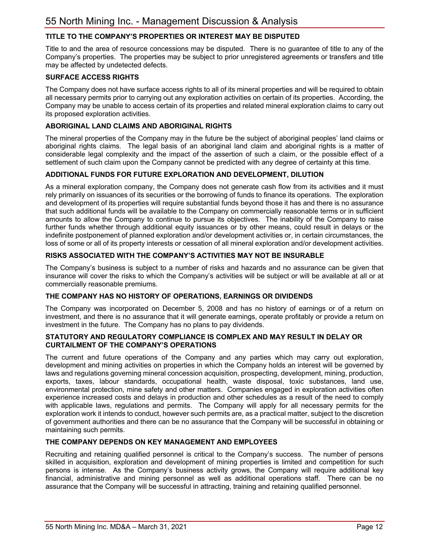## **TITLE TO THE COMPANY'S PROPERTIES OR INTEREST MAY BE DISPUTED**

Title to and the area of resource concessions may be disputed. There is no guarantee of title to any of the Company's properties. The properties may be subject to prior unregistered agreements or transfers and title may be affected by undetected defects.

#### **SURFACE ACCESS RIGHTS**

The Company does not have surface access rights to all of its mineral properties and will be required to obtain all necessary permits prior to carrying out any exploration activities on certain of its properties. According, the Company may be unable to access certain of its properties and related mineral exploration claims to carry out its proposed exploration activities.

#### **ABORIGINAL LAND CLAIMS AND ABORIGINAL RIGHTS**

The mineral properties of the Company may in the future be the subject of aboriginal peoples' land claims or aboriginal rights claims. The legal basis of an aboriginal land claim and aboriginal rights is a matter of considerable legal complexity and the impact of the assertion of such a claim, or the possible effect of a settlement of such claim upon the Company cannot be predicted with any degree of certainty at this time.

#### **ADDITIONAL FUNDS FOR FUTURE EXPLORATION AND DEVELOPMENT, DILUTION**

As a mineral exploration company, the Company does not generate cash flow from its activities and it must rely primarily on issuances of its securities or the borrowing of funds to finance its operations. The exploration and development of its properties will require substantial funds beyond those it has and there is no assurance that such additional funds will be available to the Company on commercially reasonable terms or in sufficient amounts to allow the Company to continue to pursue its objectives. The inability of the Company to raise further funds whether through additional equity issuances or by other means, could result in delays or the indefinite postponement of planned exploration and/or development activities or, in certain circumstances, the loss of some or all of its property interests or cessation of all mineral exploration and/or development activities.

#### **RISKS ASSOCIATED WITH THE COMPANY'S ACTIVITIES MAY NOT BE INSURABLE**

The Company's business is subject to a number of risks and hazards and no assurance can be given that insurance will cover the risks to which the Company's activities will be subject or will be available at all or at commercially reasonable premiums.

#### **THE COMPANY HAS NO HISTORY OF OPERATIONS, EARNINGS OR DIVIDENDS**

The Company was incorporated on December 5, 2008 and has no history of earnings or of a return on investment, and there is no assurance that it will generate earnings, operate profitably or provide a return on investment in the future. The Company has no plans to pay dividends.

#### **STATUTORY AND REGULATORY COMPLIANCE IS COMPLEX AND MAY RESULT IN DELAY OR CURTAILMENT OF THE COMPANY'S OPERATIONS**

The current and future operations of the Company and any parties which may carry out exploration, development and mining activities on properties in which the Company holds an interest will be governed by laws and regulations governing mineral concession acquisition, prospecting, development, mining, production, exports, taxes, labour standards, occupational health, waste disposal, toxic substances, land use, environmental protection, mine safety and other matters. Companies engaged in exploration activities often experience increased costs and delays in production and other schedules as a result of the need to comply with applicable laws, regulations and permits. The Company will apply for all necessary permits for the exploration work it intends to conduct, however such permits are, as a practical matter, subject to the discretion of government authorities and there can be no assurance that the Company will be successful in obtaining or maintaining such permits.

#### **THE COMPANY DEPENDS ON KEY MANAGEMENT AND EMPLOYEES**

Recruiting and retaining qualified personnel is critical to the Company's success. The number of persons skilled in acquisition, exploration and development of mining properties is limited and competition for such persons is intense. As the Company's business activity grows, the Company will require additional key financial, administrative and mining personnel as well as additional operations staff. There can be no assurance that the Company will be successful in attracting, training and retaining qualified personnel.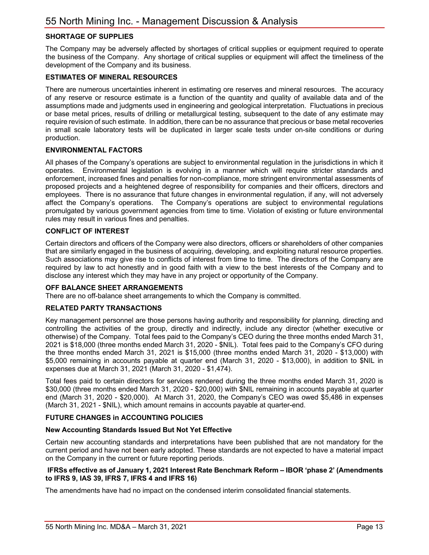## **SHORTAGE OF SUPPLIES**

The Company may be adversely affected by shortages of critical supplies or equipment required to operate the business of the Company. Any shortage of critical supplies or equipment will affect the timeliness of the development of the Company and its business.

#### **ESTIMATES OF MINERAL RESOURCES**

There are numerous uncertainties inherent in estimating ore reserves and mineral resources. The accuracy of any reserve or resource estimate is a function of the quantity and quality of available data and of the assumptions made and judgments used in engineering and geological interpretation. Fluctuations in precious or base metal prices, results of drilling or metallurgical testing, subsequent to the date of any estimate may require revision of such estimate. In addition, there can be no assurance that precious or base metal recoveries in small scale laboratory tests will be duplicated in larger scale tests under on-site conditions or during production.

#### **ENVIRONMENTAL FACTORS**

All phases of the Company's operations are subject to environmental regulation in the jurisdictions in which it operates. Environmental legislation is evolving in a manner which will require stricter standards and enforcement, increased fines and penalties for non-compliance, more stringent environmental assessments of proposed projects and a heightened degree of responsibility for companies and their officers, directors and employees. There is no assurance that future changes in environmental regulation, if any, will not adversely affect the Company's operations. The Company's operations are subject to environmental regulations promulgated by various government agencies from time to time. Violation of existing or future environmental rules may result in various fines and penalties.

#### **CONFLICT OF INTEREST**

Certain directors and officers of the Company were also directors, officers or shareholders of other companies that are similarly engaged in the business of acquiring, developing, and exploiting natural resource properties. Such associations may give rise to conflicts of interest from time to time. The directors of the Company are required by law to act honestly and in good faith with a view to the best interests of the Company and to disclose any interest which they may have in any project or opportunity of the Company.

#### **OFF BALANCE SHEET ARRANGEMENTS**

There are no off-balance sheet arrangements to which the Company is committed.

#### **RELATED PARTY TRANSACTIONS**

Key management personnel are those persons having authority and responsibility for planning, directing and controlling the activities of the group, directly and indirectly, include any director (whether executive or otherwise) of the Company. Total fees paid to the Company's CEO during the three months ended March 31, 2021 is \$18,000 (three months ended March 31, 2020 - \$NIL). Total fees paid to the Company's CFO during the three months ended March 31, 2021 is \$15,000 (three months ended March 31, 2020 - \$13,000) with \$5,000 remaining in accounts payable at quarter end (March 31, 2020 - \$13,000), in addition to \$NIL in expenses due at March 31, 2021 (March 31, 2020 - \$1,474).

Total fees paid to certain directors for services rendered during the three months ended March 31, 2020 is \$30,000 (three months ended March 31, 2020 - \$20,000) with \$NIL remaining in accounts payable at quarter end (March 31, 2020 - \$20,000). At March 31, 2020, the Company's CEO was owed \$5,486 in expenses (March 31, 2021 - \$NIL), which amount remains in accounts payable at quarter-end.

#### **FUTURE CHANGES in ACCOUNTING POLICIES**

#### **New Accounting Standards Issued But Not Yet Effective**

Certain new accounting standards and interpretations have been published that are not mandatory for the current period and have not been early adopted. These standards are not expected to have a material impact on the Company in the current or future reporting periods.

#### **IFRSs effective as of January 1, 2021 Interest Rate Benchmark Reform – IBOR 'phase 2' (Amendments to IFRS 9, IAS 39, IFRS 7, IFRS 4 and IFRS 16)**

The amendments have had no impact on the condensed interim consolidated financial statements.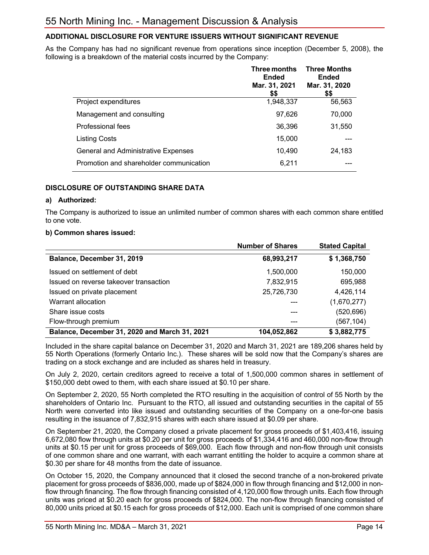## **ADDITIONAL DISCLOSURE FOR VENTURE ISSUERS WITHOUT SIGNIFICANT REVENUE**

As the Company has had no significant revenue from operations since inception (December 5, 2008), the following is a breakdown of the material costs incurred by the Company:

|                                            | Three months<br><b>Ended</b><br>Mar. 31, 2021<br>\$\$ | <b>Three Months</b><br><b>Ended</b><br>Mar. 31, 2020<br>\$\$ |
|--------------------------------------------|-------------------------------------------------------|--------------------------------------------------------------|
| Project expenditures                       | 1,948,337                                             | 56,563                                                       |
| Management and consulting                  | 97,626                                                | 70,000                                                       |
| Professional fees                          | 36,396                                                | 31,550                                                       |
| <b>Listing Costs</b>                       | 15,000                                                |                                                              |
| <b>General and Administrative Expenses</b> | 10,490                                                | 24,183                                                       |
| Promotion and shareholder communication    | 6,211                                                 |                                                              |

### **DISCLOSURE OF OUTSTANDING SHARE DATA**

#### **a) Authorized:**

The Company is authorized to issue an unlimited number of common shares with each common share entitled to one vote.

#### **b) Common shares issued:**

|                                               | <b>Number of Shares</b> | <b>Stated Capital</b> |
|-----------------------------------------------|-------------------------|-----------------------|
| Balance, December 31, 2019                    | 68,993,217              | \$1,368,750           |
| Issued on settlement of debt                  | 1,500,000               | 150,000               |
| Issued on reverse takeover transaction        | 7,832,915               | 695,988               |
| Issued on private placement                   | 25,726,730              | 4,426,114             |
| Warrant allocation                            |                         | (1,670,277)           |
| Share issue costs                             |                         | (520,696)             |
| Flow-through premium                          |                         | (567,104)             |
| Balance, December 31, 2020 and March 31, 2021 | 104,052,862             | \$3,882,775           |

Included in the share capital balance on December 31, 2020 and March 31, 2021 are 189,206 shares held by 55 North Operations (formerly Ontario Inc.). These shares will be sold now that the Company's shares are trading on a stock exchange and are included as shares held in treasury.

On July 2, 2020, certain creditors agreed to receive a total of 1,500,000 common shares in settlement of \$150,000 debt owed to them, with each share issued at \$0.10 per share.

On September 2, 2020, 55 North completed the RTO resulting in the acquisition of control of 55 North by the shareholders of Ontario Inc. Pursuant to the RTO, all issued and outstanding securities in the capital of 55 North were converted into like issued and outstanding securities of the Company on a one-for-one basis resulting in the issuance of 7,832,915 shares with each share issued at \$0.09 per share.

On September 21, 2020, the Company closed a private placement for gross proceeds of \$1,403,416, issuing 6,672,080 flow through units at \$0.20 per unit for gross proceeds of \$1,334,416 and 460,000 non-flow through units at \$0.15 per unit for gross proceeds of \$69,000. Each flow through and non-flow through unit consists of one common share and one warrant, with each warrant entitling the holder to acquire a common share at \$0.30 per share for 48 months from the date of issuance.

On October 15, 2020, the Company announced that it closed the second tranche of a non-brokered private placement for gross proceeds of \$836,000, made up of \$824,000 in flow through financing and \$12,000 in nonflow through financing. The flow through financing consisted of 4,120,000 flow through units. Each flow through units was priced at \$0.20 each for gross proceeds of \$824,000. The non-flow through financing consisted of 80,000 units priced at \$0.15 each for gross proceeds of \$12,000. Each unit is comprised of one common share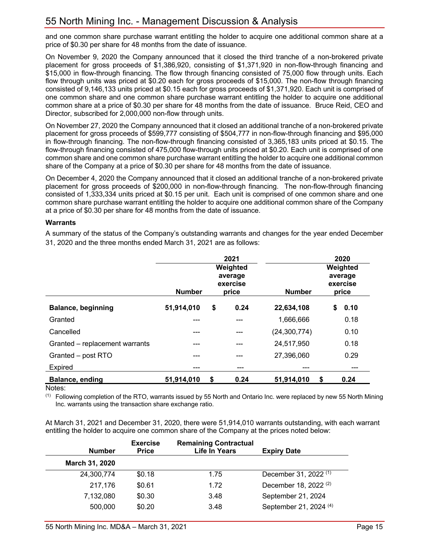and one common share purchase warrant entitling the holder to acquire one additional common share at a price of \$0.30 per share for 48 months from the date of issuance.

On November 9, 2020 the Company announced that it closed the third tranche of a non-brokered private placement for gross proceeds of \$1,386,920, consisting of \$1,371,920 in non-flow-through financing and \$15,000 in flow-through financing. The flow through financing consisted of 75,000 flow through units. Each flow through units was priced at \$0.20 each for gross proceeds of \$15,000. The non-flow through financing consisted of 9,146,133 units priced at \$0.15 each for gross proceeds of \$1,371,920. Each unit is comprised of one common share and one common share purchase warrant entitling the holder to acquire one additional common share at a price of \$0.30 per share for 48 months from the date of issuance. Bruce Reid, CEO and Director, subscribed for 2,000,000 non-flow through units.

On November 27, 2020 the Company announced that it closed an additional tranche of a non-brokered private placement for gross proceeds of \$599,777 consisting of \$504,777 in non-flow-through financing and \$95,000 in flow-through financing. The non-flow-through financing consisted of 3,365,183 units priced at \$0.15. The flow-through financing consisted of 475,000 flow-through units priced at \$0.20. Each unit is comprised of one common share and one common share purchase warrant entitling the holder to acquire one additional common share of the Company at a price of \$0.30 per share for 48 months from the date of issuance.

On December 4, 2020 the Company announced that it closed an additional tranche of a non-brokered private placement for gross proceeds of \$200,000 in non-flow-through financing. The non-flow-through financing consisted of 1,333,334 units priced at \$0.15 per unit. Each unit is comprised of one common share and one common share purchase warrant entitling the holder to acquire one additional common share of the Company at a price of \$0.30 per share for 48 months from the date of issuance.

### **Warrants**

A summary of the status of the Company's outstanding warrants and changes for the year ended December 31, 2020 and the three months ended March 31, 2021 are as follows:

|                                | <b>Number</b> |    | 2021<br>Weighted<br>average<br>exercise<br>price | <b>Number</b>  | 2020<br>Weighted<br>average<br>exercise<br>price |      |
|--------------------------------|---------------|----|--------------------------------------------------|----------------|--------------------------------------------------|------|
| <b>Balance, beginning</b>      | 51,914,010    | \$ | 0.24                                             | 22,634,108     | S                                                | 0.10 |
| Granted                        | ---           |    | ---                                              | 1,666,666      |                                                  | 0.18 |
| Cancelled                      | ---           |    | ---                                              | (24, 300, 774) |                                                  | 0.10 |
| Granted - replacement warrants | ---           |    | ---                                              | 24,517,950     |                                                  | 0.18 |
| Granted - post RTO             | ---           |    | ---                                              | 27,396,060     |                                                  | 0.29 |
| Expired                        | ---           |    | ---                                              | ---            |                                                  | ---  |
| <b>Balance, ending</b>         | 51,914,010    | \$ | 0.24                                             | 51,914,010     | S                                                | 0.24 |

Notes:

 $<sup>(1)</sup>$  Following completion of the RTO, warrants issued by 55 North and Ontario Inc. were replaced by new 55 North Mining</sup> Inc. warrants using the transaction share exchange ratio.

At March 31, 2021 and December 31, 2020, there were 51,914,010 warrants outstanding, with each warrant entitling the holder to acquire one common share of the Company at the prices noted below:

| <b>Number</b>  | <b>Exercise</b><br><b>Price</b> | <b>Remaining Contractual</b><br><b>Life In Years</b> | <b>Expiry Date</b>                |
|----------------|---------------------------------|------------------------------------------------------|-----------------------------------|
| March 31, 2020 |                                 |                                                      |                                   |
| 24,300,774     | \$0.18                          | 1.75                                                 | December 31, 2022 <sup>(1)</sup>  |
| 217,176        | \$0.61                          | 1.72                                                 | December 18, 2022 <sup>(2)</sup>  |
| 7,132,080      | \$0.30                          | 3.48                                                 | September 21, 2024                |
| 500,000        | \$0.20                          | 3.48                                                 | September 21, 2024 <sup>(4)</sup> |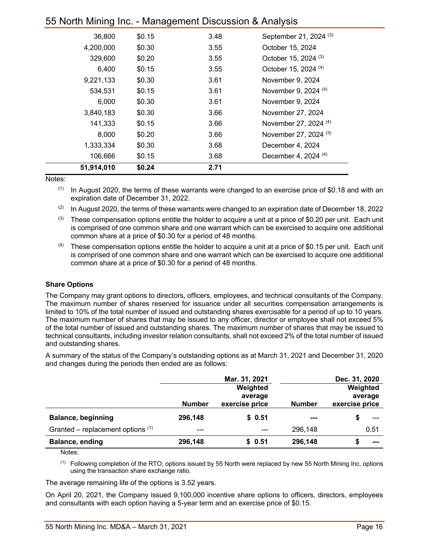| ັ          |        |      |                                   |
|------------|--------|------|-----------------------------------|
| 36,800     | \$0.15 | 3.48 | September 21, 2024 <sup>(3)</sup> |
| 4,200,000  | \$0.30 | 3.55 | October 15, 2024                  |
| 329,600    | \$0.20 | 3.55 | October 15, 2024 <sup>(3)</sup>   |
| 6,400      | \$0.15 | 3.55 | October 15, 2024 <sup>(4)</sup>   |
| 9,221,133  | \$0.30 | 3.61 | November 9, 2024                  |
| 534,531    | \$0.15 | 3.61 | November 9, 2024 (4)              |
| 6,000      | \$0.30 | 3.61 | November 9, 2024                  |
| 3,840,183  | \$0.30 | 3.66 | November 27, 2024                 |
| 141,333    | \$0.15 | 3.66 | November 27, 2024 (4)             |
| 8,000      | \$0.20 | 3.66 | November 27, 2024 <sup>(3)</sup>  |
| 1,333,334  | \$0.30 | 3.68 | December 4, 2024                  |
| 106,666    | \$0.15 | 3.68 | December 4, 2024 <sup>(4)</sup>   |
| 51,914,010 | \$0.24 | 2.71 |                                   |

Notes:

 $(1)$  In August 2020, the terms of these warrants were changed to an exercise price of \$0.18 and with an expiration date of December 31, 2022.

- (2) In August 2020, the terms of these warrants were changed to an expiration date of December 18, 2022
- $(3)$  These compensation options entitle the holder to acquire a unit at a price of \$0.20 per unit. Each unit is comprised of one common share and one warrant which can be exercised to acquire one additional common share at a price of \$0.30 for a period of 48 months.
- $(4)$  These compensation options entitle the holder to acquire a unit at a price of \$0.15 per unit. Each unit is comprised of one common share and one warrant which can be exercised to acquire one additional common share at a price of \$0.30 for a period of 48 months.

#### **Share Options**

The Company may grant options to directors, officers, employees, and technical consultants of the Company. The maximum number of shares reserved for issuance under all securities compensation arrangements is limited to 10% of the total number of issued and outstanding shares exercisable for a period of up to 10 years. The maximum number of shares that may be issued to any officer, director or employee shall not exceed 5% of the total number of issued and outstanding shares. The maximum number of shares that may be issued to technical consultants, including investor relation consultants, shall not exceed 2% of the total number of issued and outstanding shares.

A summary of the status of the Company's outstanding options as at March 31, 2021 and December 31, 2020 and changes during the periods then ended are as follows:

|                                     |               | Mar. 31, 2021             |               | Dec. 31, 2020             |
|-------------------------------------|---------------|---------------------------|---------------|---------------------------|
|                                     |               | Weighted                  |               | Weighted                  |
|                                     | <b>Number</b> | average<br>exercise price | <b>Number</b> | average<br>exercise price |
|                                     |               |                           |               |                           |
| <b>Balance, beginning</b>           | 296,148       | \$0.51                    | ---           |                           |
| Granted – replacement options $(1)$ | ---           | ---                       | 296,148       | 0.51                      |
| Balance, ending                     | 296,148       | \$0.51                    | 296,148       | ---                       |

Notes:

 $<sup>(1)</sup>$  Following completion of the RTO, options issued by 55 North were replaced by new 55 North Mining Inc. options</sup> using the transaction share exchange ratio.

The average remaining life of the options is 3.52 years.

On April 20, 2021, the Company issued 9,100,000 incentive share options to officers, directors, employees and consultants with each option having a 5-year term and an exercise price of \$0.15.